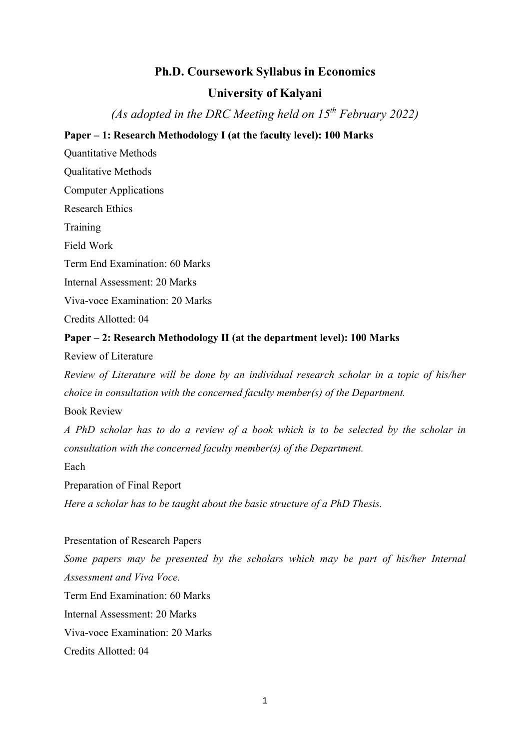# Ph.D. Coursework Syllabus in Economics

# University of Kalyani

(As adopted in the DRC Meeting held on  $15^{th}$  February 2022)

### Paper – 1: Research Methodology I (at the faculty level): 100 Marks

Quantitative Methods

Qualitative Methods

Computer Applications

Research Ethics

Training

Field Work

Term End Examination: 60 Marks

Internal Assessment: 20 Marks

Viva-voce Examination: 20 Marks

Credits Allotted: 04

#### Paper – 2: Research Methodology II (at the department level): 100 Marks

Review of Literature

Review of Literature will be done by an individual research scholar in a topic of his/her choice in consultation with the concerned faculty member(s) of the Department.

Book Review

A PhD scholar has to do a review of a book which is to be selected by the scholar in consultation with the concerned faculty member(s) of the Department.

Each

Preparation of Final Report

Here a scholar has to be taught about the basic structure of a PhD Thesis.

Presentation of Research Papers Some papers may be presented by the scholars which may be part of his/her Internal Assessment and Viva Voce. Term End Examination: 60 Marks Internal Assessment: 20 Marks Viva-voce Examination: 20 Marks Credits Allotted: 04